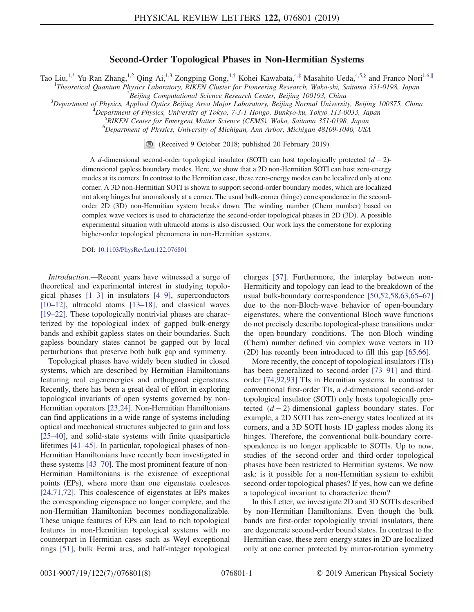## Second-Order Topological Phases in Non-Hermitian Systems

<span id="page-0-0"></span>Tao Liu,<sup>[1,\\*](#page-4-0)</sup> Yu-Ran Zhang,<sup>1,2</sup> Qing Ai,<sup>1,3</sup> Zongping Gong,<sup>4,[†](#page-4-1)</sup> Kohei Kawabata,<sup>4,[‡](#page-4-2)</sup> Masahito Ueda,<sup>4,5[,§](#page-4-3)</sup> and Franco Nori<sup>1,6,[∥](#page-4-4)</sup>

<sup>1</sup>Theoretical Quantum Physics Laboratory, RIKEN Cluster for Pioneering Research, Wako-shi, Saitama 351-0198, Japan<br><sup>2</sup>Paijing Computational Science Besearch Center Beijing 100103 China

 ${}^{2}$ Beijing Computational Science Research Center, Beijing 100193, China

 $\beta$ Department of Physics, Applied Optics Beijing Area Major Laboratory, Beijing Normal University, Beijing 100875, China

<sup>4</sup>Department of Physics, University of Tokyo, 7-3-1 Hongo, Bunkyo-ku, Tokyo 113-0033, Japan

RIKEN Center for Emergent Matter Science (CEMS), Wako, Saitama 351-0198, Japan

6 Department of Physics, University of Michigan, Ann Arbor, Michigan 48109-1040, USA

(Received 9 October 2018; published 20 February 2019)

A d-dimensional second-order topological insulator (SOTI) can host topologically protected  $(d-2)$ dimensional gapless boundary modes. Here, we show that a 2D non-Hermitian SOTI can host zero-energy modes at its corners. In contrast to the Hermitian case, these zero-energy modes can be localized only at one corner. A 3D non-Hermitian SOTI is shown to support second-order boundary modes, which are localized not along hinges but anomalously at a corner. The usual bulk-corner (hinge) correspondence in the secondorder 2D (3D) non-Hermitian system breaks down. The winding number (Chern number) based on complex wave vectors is used to characterize the second-order topological phases in 2D (3D). A possible experimental situation with ultracold atoms is also discussed. Our work lays the cornerstone for exploring higher-order topological phenomena in non-Hermitian systems.

DOI: [10.1103/PhysRevLett.122.076801](https://doi.org/10.1103/PhysRevLett.122.076801)

Introduction.—Recent years have witnessed a surge of theoretical and experimental interest in studying topological phases  $[1-3]$  $[1-3]$  in insulators  $[4-9]$ , superconductors [\[10](#page-4-7)–12], ultracold atoms [\[13](#page-4-8)–18], and classical waves [\[19](#page-5-0)–22]. These topologically nontrivial phases are characterized by the topological index of gapped bulk-energy bands and exhibit gapless states on their boundaries. Such gapless boundary states cannot be gapped out by local perturbations that preserve both bulk gap and symmetry.

Topological phases have widely been studied in closed systems, which are described by Hermitian Hamiltonians featuring real eigenenergies and orthogonal eigenstates. Recently, there has been a great deal of effort in exploring topological invariants of open systems governed by non-Hermitian operators [\[23,24\].](#page-5-1) Non-Hermitian Hamiltonians can find applications in a wide range of systems including optical and mechanical structures subjected to gain and loss [\[25](#page-5-2)–40], and solid-state systems with finite quasiparticle lifetimes [41–[45\].](#page-5-3) In particular, topological phases of non-Hermitian Hamiltonians have recently been investigated in these systems [\[43](#page-5-4)–70]. The most prominent feature of non-Hermitian Hamiltonians is the existence of exceptional points (EPs), where more than one eigenstate coalesces [\[24,71,72\]](#page-5-5). This coalescence of eigenstates at EPs makes the corresponding eigenspace no longer complete, and the non-Hermitian Hamiltonian becomes nondiagonalizable. These unique features of EPs can lead to rich topological features in non-Hermitian topological systems with no counterpart in Hermitian cases such as Weyl exceptional rings [\[51\],](#page-6-0) bulk Fermi arcs, and half-integer topological charges [\[57\].](#page-6-1) Furthermore, the interplay between non-Hermiticity and topology can lead to the breakdown of the usual bulk-boundary correspondence [\[50,52,58,63,65](#page-5-6)–67] due to the non-Bloch-wave behavior of open-boundary eigenstates, where the conventional Bloch wave functions do not precisely describe topological-phase transitions under the open-boundary conditions. The non-Bloch winding (Chern) number defined via complex wave vectors in 1D (2D) has recently been introduced to fill this gap [\[65,66\].](#page-6-2)

More recently, the concept of topological insulators (TIs) has been generalized to second-order [\[73](#page-6-3)–91] and thirdorder [\[74,92,93\]](#page-6-4) TIs in Hermitian systems. In contrast to conventional first-order TIs, a d-dimensional second-order topological insulator (SOTI) only hosts topologically protected  $(d - 2)$ -dimensional gapless boundary states. For example, a 2D SOTI has zero-energy states localized at its corners, and a 3D SOTI hosts 1D gapless modes along its hinges. Therefore, the conventional bulk-boundary correspondence is no longer applicable to SOTIs. Up to now, studies of the second-order and third-order topological phases have been restricted to Hermitian systems. We now ask: is it possible for a non-Hermitian system to exhibit second-order topological phases? If yes, how can we define a topological invariant to characterize them?

In this Letter, we investigate 2D and 3D SOTIs described by non-Hermitian Hamiltonians. Even though the bulk bands are first-order topologically trivial insulators, there are degenerate second-order bound states. In contrast to the Hermitian case, these zero-energy states in 2D are localized only at one corner protected by mirror-rotation symmetry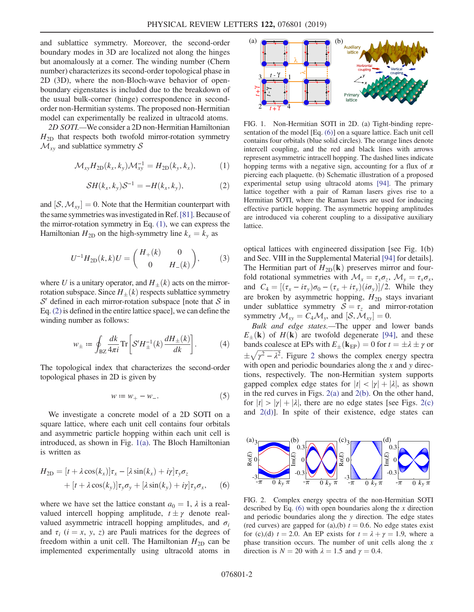and sublattice symmetry. Moreover, the second-order boundary modes in 3D are localized not along the hinges but anomalously at a corner. The winding number (Chern number) characterizes its second-order topological phase in 2D (3D), where the non-Bloch-wave behavior of openboundary eigenstates is included due to the breakdown of the usual bulk-corner (hinge) correspondence in secondorder non-Hermitian systems. The proposed non-Hermitian model can experimentally be realized in ultracold atoms.

<span id="page-1-0"></span>2D SOTI.—We consider a 2D non-Hermitian Hamiltonian  $H_{2D}$  that respects both twofold mirror-rotation symmetry  $\mathcal{M}_{xy}$  and sublattice symmetry S

$$
\mathcal{M}_{xy}H_{2D}(k_x, k_y)\mathcal{M}_{xy}^{-1} = H_{2D}(k_y, k_x),\tag{1}
$$

$$
\mathcal{S}H(k_x, k_y)\mathcal{S}^{-1} = -H(k_x, k_y),\tag{2}
$$

<span id="page-1-6"></span><span id="page-1-1"></span>and  $[S, M_{xy}] = 0$ . Note that the Hermitian counterpart with the same symmetries was investigated in Ref.[\[81\].](#page-6-5) Because of the mirror-rotation symmetry in Eq. [\(1\),](#page-1-0) we can express the Hamiltonian  $H_{2D}$  on the high-symmetry line  $k_x = k_y$  as

$$
U^{-1}H_{2D}(k,k)U = \begin{pmatrix} H_+(k) & 0 \\ 0 & H_-(k) \end{pmatrix}, \tag{3}
$$

where U is a unitary operator, and  $H_{\pm}(k)$  acts on the mirrorrotation subspace. Since  $H_+(k)$  respects sublattice symmetry  $S'$  defined in each mirror-rotation subspace [note that  $S$  in Eq. [\(2\)](#page-1-1) is defined in the entire lattice space], we can define the winding number as follows:

$$
w_{\pm} \coloneqq \oint_{\rm BZ} \frac{dk}{4\pi i} {\rm Tr}\bigg[ \mathcal{S}' H_{\pm}^{-1}(k) \frac{dH_{\pm}(k)}{dk} \bigg]. \eqno(4)
$$

<span id="page-1-5"></span>The topological index that characterizes the second-order topological phases in 2D is given by

$$
w := w_+ - w_-.
$$

<span id="page-1-4"></span>We investigate a concrete model of a 2D SOTI on a square lattice, where each unit cell contains four orbitals and asymmetric particle hopping within each unit cell is introduced, as shown in Fig. [1\(a\).](#page-1-2) The Bloch Hamiltonian is written as

$$
H_{2D} = [t + \lambda \cos(k_x)]\tau_x - [\lambda \sin(k_x) + i\gamma]\tau_y \sigma_z
$$
  
+ 
$$
[t + \lambda \cos(k_y)]\tau_y \sigma_y + [\lambda \sin(k_y) + i\gamma]\tau_y \sigma_x,
$$
 (6)

where we have set the lattice constant  $a_0 = 1$ ,  $\lambda$  is a realvalued intercell hopping amplitude,  $t \pm \gamma$  denote realvalued asymmetric intracell hopping amplitudes, and  $\sigma_i$ and  $\tau_i$  ( $i = x, y, z$ ) are Pauli matrices for the degrees of freedom within a unit cell. The Hamiltonian  $H_{2D}$  can be implemented experimentally using ultracold atoms in

<span id="page-1-2"></span>

FIG. 1. Non-Hermitian SOTI in 2D. (a) Tight-binding representation of the model [Eq. [\(6\)](#page-1-4)] on a square lattice. Each unit cell contains four orbitals (blue solid circles). The orange lines denote intercell coupling, and the red and black lines with arrows represent asymmetric intracell hopping. The dashed lines indicate hopping terms with a negative sign, accounting for a flux of  $\pi$ piercing each plaquette. (b) Schematic illustration of a proposed experimental setup using ultracold atoms [\[94\].](#page-7-0) The primary lattice together with a pair of Raman lasers gives rise to a Hermitian SOTI, where the Raman lasers are used for inducing effective particle hopping. The asymmetric hopping amplitudes are introduced via coherent coupling to a dissipative auxiliary lattice.

optical lattices with engineered dissipation [see Fig. 1(b) and Sec. VIII in the Supplemental Material [\[94\]](#page-7-0) for details]. The Hermitian part of  $H_{2D}(\mathbf{k})$  preserves mirror and fourfold rotational symmetries with  $\mathcal{M}_x = \tau_x \sigma_z$ ,  $\mathcal{M}_y = \tau_x \sigma_x$ , and  $C_4 = [(\tau_x - i\tau_y)\sigma_0 - (\tau_x + i\tau_y)(i\sigma_y)]/2$ . While they are broken by asymmetric hopping,  $H_{2D}$  stays invariant under sublattice symmetry  $S = \tau_z$  and mirror-rotation symmetry  $\mathcal{M}_{xy} = C_4 \mathcal{M}_y$ , and  $[\mathcal{S}, \mathcal{M}_{xy}] = 0$ .

Bulk and edge states.—The upper and lower bands  $E_{\pm}(\mathbf{k})$  of  $H(\mathbf{k})$  are twofold degenerate [\[94\]](#page-7-0), and these bands coalesce at EPs with  $E_{+}(\mathbf{k}_{\text{FP}}) = 0$  for  $t = \pm \lambda \pm \gamma$  or  $\pm \sqrt{\gamma^2 - \lambda^2}$  $\pm \sqrt{\gamma^2 - \lambda^2}$  $\pm \sqrt{\gamma^2 - \lambda^2}$ . Figure 2 shows the complex energy spectra with open and periodic boundaries along the  $x$  and  $y$  directions, respectively. The non-Hermitian system supports gapped complex edge states for  $|t| < |\gamma| + |\lambda|$ , as shown in the red curves in Figs. [2\(a\)](#page-1-3) and [2\(b\)](#page-1-3). On the other hand, for  $|t| > |\gamma| + |\lambda|$ , there are no edge states [see Figs. [2\(c\)](#page-1-3) and  $2(d)$ ]. In spite of their existence, edge states can

<span id="page-1-3"></span>

FIG. 2. Complex energy spectra of the non-Hermitian SOTI described by Eq.  $(6)$  with open boundaries along the x direction and periodic boundaries along the y direction. The edge states (red curves) are gapped for (a),(b)  $t = 0.6$ . No edge states exist for (c),(d)  $t = 2.0$ . An EP exists for  $t = \lambda + \gamma = 1.9$ , where a phase transition occurs. The number of unit cells along the  $x$ direction is  $N = 20$  with  $\lambda = 1.5$  and  $\gamma = 0.4$ .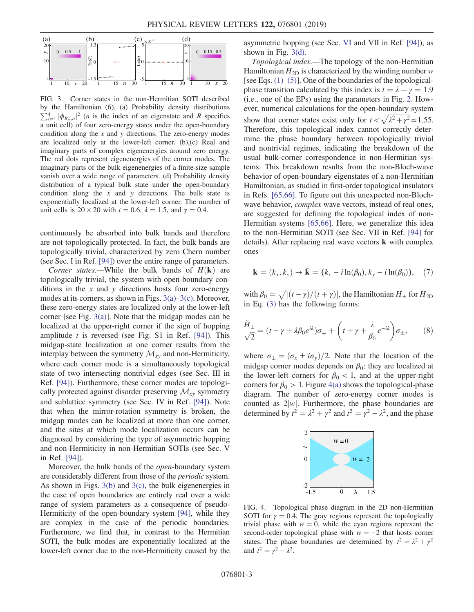<span id="page-2-0"></span>

FIG. 3. Corner states in the non-Hermitian SOTI described by the Hamiltonian (6). (a) Probability density distributions  $\sum_{i=1}^{4} |\phi_{R,i,n}|^2$  (*n* is the index of an eigenstate and *R* specifies a unit cell) of four zero-energy states under the open-boundary condition along the  $x$  and  $y$  directions. The zero-energy modes are localized only at the lower-left corner. (b),(c) Real and imaginary parts of complex eigenenergies around zero energy. The red dots represent eigenenergies of the corner modes. The imaginary parts of the bulk eigenenergies of a finite-size sample vanish over a wide range of parameters. (d) Probability density distribution of a typical bulk state under the open-boundary condition along the  $x$  and  $y$  directions. The bulk state is exponentially localized at the lower-left corner. The number of unit cells is  $20 \times 20$  with  $t = 0.6$ ,  $\lambda = 1.5$ , and  $\gamma = 0.4$ .

continuously be absorbed into bulk bands and therefore are not topologically protected. In fact, the bulk bands are topologically trivial, characterized by zero Chern number (see Sec. I in Ref. [\[94\]\)](#page-7-0) over the entire range of parameters.

*Corner states.*—While the bulk bands of  $H(\mathbf{k})$  are topologically trivial, the system with open-boundary conditions in the  $x$  and  $y$  directions hosts four zero-energy modes at its corners, as shown in Figs. [3\(a\)](#page-2-0)–3(c). Moreover, these zero-energy states are localized only at the lower-left corner [see Fig. [3\(a\)\]](#page-2-0). Note that the midgap modes can be localized at the upper-right corner if the sign of hopping amplitude  $t$  is reversed (see Fig. S1 in Ref. [\[94\]\)](#page-7-0). This midgap-state localization at one corner results from the interplay between the symmetry  $\mathcal{M}_{xy}$  and non-Hermiticity, where each corner mode is a simultaneously topological state of two intersecting nontrivial edges (see Sec. III in Ref. [\[94\]](#page-7-0)). Furthermore, these corner modes are topologically protected against disorder preserving  $\mathcal{M}_{xy}$  symmetry and sublattice symmetry (see Sec. IV in Ref. [\[94\]\)](#page-7-0). Note that when the mirror-rotation symmetry is broken, the midgap modes can be localized at more than one corner, and the sites at which mode localization occurs can be diagnosed by considering the type of asymmetric hopping and non-Hermiticity in non-Hermitian SOTIs (see Sec. V in Ref. [\[94\]](#page-7-0)).

Moreover, the bulk bands of the open-boundary system are considerably different from those of the periodic system. As shown in Figs.  $3(b)$  and  $3(c)$ , the bulk eigenenergies in the case of open boundaries are entirely real over a wide range of system parameters as a consequence of pseudo-Hermiticity of the open-boundary system [\[94\]](#page-7-0), while they are complex in the case of the periodic boundaries. Furthermore, we find that, in contrast to the Hermitian SOTI, the bulk modes are exponentially localized at the lower-left corner due to the non-Hermiticity caused by the asymmetric hopping (see Sec. [VI](#page-3-0) and VII in Ref. [\[94\]](#page-7-0)), as shown in Fig. [3\(d\)](#page-2-0).

Topological index.—The topology of the non-Hermitian Hamiltonian  $H_{2D}$  is characterized by the winding number w [see Eqs. [\(1\)](#page-1-0)–[\(5\)](#page-1-5)]. One of the boundaries of the topologicalphase transition calculated by this index is  $t = \lambda + \gamma = 1.9$ (i.e., one of the EPs) using the parameters in Fig. [2.](#page-1-3) However, numerical calculations for the open-boundary system show that corner states exist only for  $t < \sqrt{\lambda^2 + \gamma^2} \approx 1.55$ . Therefore, this topological index cannot correctly determine the phase boundary between topologically trivial and nontrivial regimes, indicating the breakdown of the usual bulk-corner correspondence in non-Hermitian systems. This breakdown results from the non-Bloch-wave behavior of open-boundary eigenstates of a non-Hermitian Hamiltonian, as studied in first-order topological insulators in Refs. [\[65,66\]](#page-6-2). To figure out this unexpected non-Blochwave behavior, complex wave vectors, instead of real ones, are suggested for defining the topological index of non-Hermitian systems [\[65,66\]](#page-6-2). Here, we generalize this idea to the non-Hermitian SOTI (see Sec. VII in Ref. [\[94\]](#page-7-0) for details). After replacing real wave vectors k with complex ones

$$
\mathbf{k} = (k_x, k_y) \rightarrow \tilde{\mathbf{k}} = (k_x - i \ln(\beta_0), k_y - i \ln(\beta_0)), \quad (7)
$$

with  $\beta_0 = \sqrt{\left\lceil (t-\gamma)/(t+\gamma) \right\rceil}$ , the Hamiltonian  $H_{\pm}$  for  $H_{\text{2D}}$ in Eq. [\(3\)](#page-1-6) has the following forms:

$$
\frac{\tilde{H}_{\pm}}{\sqrt{2}} = (t - \gamma + \lambda \beta_0 e^{ik}) \sigma_{\mp} + \left( t + \gamma + \frac{\lambda}{\beta_0} e^{-ik} \right) \sigma_{\pm}, \qquad (8)
$$

where  $\sigma_{\pm}=(\sigma_{x}\pm i\sigma_{y})/2$ . Note that the location of the midgap corner modes depends on  $\beta_0$ : they are localized at the lower-left corners for  $\beta_0$  < 1, and at the upper-right corners for  $\beta_0 > 1$ . Figure [4\(a\)](#page-2-1) shows the topological-phase diagram. The number of zero-energy corner modes is counted as  $2|w|$ . Furthermore, the phase boundaries are determined by  $t^2 = \lambda^2 + \gamma^2$  and  $t^2 = \gamma^2 - \lambda^2$ , and the phase

<span id="page-2-1"></span>

FIG. 4. Topological phase diagram in the 2D non-Hermitian SOTI for  $\gamma = 0.4$ . The gray regions represent the topologically trivial phase with  $w = 0$ , while the cyan regions represent the second-order topological phase with  $w = -2$  that hosts corner states. The phase boundaries are determined by  $t^2 = \lambda^2 + \gamma^2$ and  $t^2 = \gamma^2 - \lambda^2$ .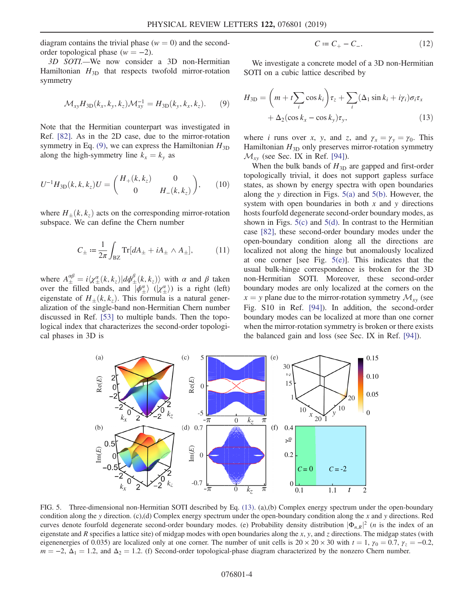diagram contains the trivial phase  $(w = 0)$  and the secondorder topological phase  $(w = -2)$ .

<span id="page-3-1"></span><span id="page-3-0"></span>3D SOTI.—We now consider a 3D non-Hermitian Hamiltonian  $H_{3D}$  that respects twofold mirror-rotation symmetry

$$
\mathcal{M}_{xy}H_{\rm 3D}(k_x,k_y,k_z)\mathcal{M}_{xy}^{-1}=H_{\rm 3D}(k_y,k_x,k_z). \hspace{0.5cm} (9)
$$

<span id="page-3-5"></span>Note that the Hermitian counterpart was investigated in Ref. [\[82\]](#page-6-6). As in the 2D case, due to the mirror-rotation symmetry in Eq. [\(9\),](#page-3-1) we can express the Hamiltonian  $H_{3D}$ along the high-symmetry line  $k_x = k_y$  as

$$
U^{-1}H_{3D}(k,k,k_z)U = \begin{pmatrix} H_+(k,k_z) & 0\\ 0 & H_-(k,k_z) \end{pmatrix}, \qquad (10)
$$

where  $H_+(k, k_z)$  acts on the corresponding mirror-rotation subspace. We can define the Chern number

$$
C_{\pm} := \frac{1}{2\pi} \int_{\text{BZ}} \text{Tr}[dA_{\pm} + iA_{\pm} \wedge A_{\pm}], \tag{11}
$$

<span id="page-3-4"></span>where  $A^{\alpha\beta}_{\pm} = i \langle \chi^{\alpha}_{\pm}(k, k_z) | d\phi^{\beta}_{\pm}(k, k_z) \rangle$  with  $\alpha$  and  $\beta$  taken over the filled bands, and  $\overline{\ket{\phi^{\alpha}_{\pm}}}$  ( $\ket{\chi^{\alpha}_{\pm}}$ ) is a right (left) eigenstate of  $H_+(k, k_z)$ . This formula is a natural generalization of the single-band non-Hermitian Chern number discussed in Ref. [\[53\]](#page-6-7) to multiple bands. Then the topological index that characterizes the second-order topological phases in 3D is

$$
C \coloneqq C_+ - C_-\tag{12}
$$

<span id="page-3-3"></span>We investigate a concrete model of a 3D non-Hermitian SOTI on a cubic lattice described by

$$
H_{3D} = \left(m + t\sum_{i} \cos k_{i}\right)\tau_{z} + \sum_{i} (\Delta_{1} \sin k_{i} + i\gamma_{i})\sigma_{i}\tau_{x} + \Delta_{2}(\cos k_{x} - \cos k_{y})\tau_{y},
$$
\n(13)

where *i* runs over x, y, and z, and  $\gamma_x = \gamma_y = \gamma_0$ . This Hamiltonian  $H_{3D}$  only preserves mirror-rotation symmetry  $\mathcal{M}_{xy}$  (see Sec. IX in Ref. [\[94\]](#page-7-0)).

When the bulk bands of  $H_{3D}$  are gapped and first-order topologically trivial, it does not support gapless surface states, as shown by energy spectra with open boundaries along the y direction in Figs.  $5(a)$  and  $5(b)$ . However, the system with open boundaries in both  $x$  and  $y$  directions hosts fourfold degenerate second-order boundary modes, as shown in Figs.  $5(c)$  and  $5(d)$ . In contrast to the Hermitian case [\[82\]](#page-6-6), these second-order boundary modes under the open-boundary condition along all the directions are localized not along the hinge but anomalously localized at one corner [see Fig.  $5(e)$ ]. This indicates that the usual bulk-hinge correspondence is broken for the 3D non-Hermitian SOTI. Moreover, these second-order boundary modes are only localized at the corners on the  $x = y$  plane due to the mirror-rotation symmetry  $\mathcal{M}_{xy}$  (see Fig. S10 in Ref. [\[94\]](#page-7-0)). In addition, the second-order boundary modes can be localized at more than one corner when the mirror-rotation symmetry is broken or there exists the balanced gain and loss (see Sec. IX in Ref. [\[94\]](#page-7-0)).

<span id="page-3-2"></span>

FIG. 5. Three-dimensional non-Hermitian SOTI described by Eq. [\(13\)](#page-3-3). (a),(b) Complex energy spectrum under the open-boundary condition along the y direction. (c),(d) Complex energy spectrum under the open-boundary condition along the x and y directions. Red curves denote fourfold degenerate second-order boundary modes. (e) Probability density distribution  $|\Phi_{n,R}|^2$  (*n* is the index of an eigenstate and  $R$  specifies a lattice site) of midgap modes with open boundaries along the  $x$ ,  $y$ , and  $z$  directions. The midgap states (with eigenenergies of 0.035) are localized only at one corner. The number of unit cells is  $20 \times 20 \times 30$  with  $t = 1$ ,  $\gamma_0 = 0.7$ ,  $\gamma_z = -0.2$ ,  $m = -2$ ,  $\Delta_1 = 1.2$ , and  $\Delta_2 = 1.2$ . (f) Second-order topological-phase diagram characterized by the nonzero Chern number.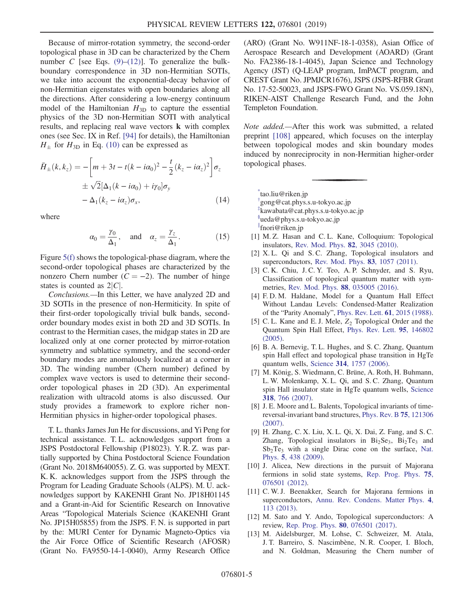Because of mirror-rotation symmetry, the second-order topological phase in 3D can be characterized by the Chern number C [see Eqs.  $(9)$ – $(12)$ ]. To generalize the bulkboundary correspondence in 3D non-Hermitian SOTIs, we take into account the exponential-decay behavior of non-Hermitian eigenstates with open boundaries along all the directions. After considering a low-energy continuum model of the Hamiltonian  $H_{3D}$  to capture the essential physics of the 3D non-Hermitian SOTI with analytical results, and replacing real wave vectors k with complex ones (see Sec. IX in Ref. [\[94\]](#page-7-0) for details), the Hamiltonian  $H_{\pm}$  for  $H_{3D}$  in Eq. [\(10\)](#page-3-5) can be expressed as

$$
\bar{H}_{\pm}(k, k_z) = -\left[m + 3t - t(k - i\alpha_0)^2 - \frac{t}{2}(k_z - i\alpha_z)^2\right]\sigma_z
$$
  

$$
\pm \sqrt{2}[\Delta_1(k - i\alpha_0) + i\gamma_0]\sigma_y
$$
  

$$
-\Delta_1(k_z - i\alpha_z)\sigma_x,
$$
 (14)

where

$$
\alpha_0 = \frac{\gamma_0}{\Delta_1}
$$
, and  $\alpha_z = \frac{\gamma_z}{\Delta_1}$ . (15)

Figure [5\(f\)](#page-3-2) shows the topological-phase diagram, where the second-order topological phases are characterized by the nonzero Chern number ( $C = -2$ ). The number of hinge states is counted as  $2|C|$ .

Conclusions.—In this Letter, we have analyzed 2D and 3D SOTIs in the presence of non-Hermiticity. In spite of their first-order topologically trivial bulk bands, secondorder boundary modes exist in both 2D and 3D SOTIs. In contrast to the Hermitian cases, the midgap states in 2D are localized only at one corner protected by mirror-rotation symmetry and sublattice symmetry, and the second-order boundary modes are anomalously localized at a corner in 3D. The winding number (Chern number) defined by complex wave vectors is used to determine their secondorder topological phases in 2D (3D). An experimental realization with ultracold atoms is also discussed. Our study provides a framework to explore richer non-Hermitian physics in higher-order topological phases.

T. L. thanks James Jun He for discussions, and Yi Peng for technical assistance. T. L. acknowledges support from a JSPS Postdoctoral Fellowship (P18023). Y. R. Z. was partially supported by China Postdoctoral Science Foundation (Grant No. 2018M640055). Z. G. was supported by MEXT. K. K. acknowledges support from the JSPS through the Program for Leading Graduate Schools (ALPS). M. U. acknowledges support by KAKENHI Grant No. JP18H01145 and a Grant-in-Aid for Scientific Research on Innovative Areas "Topological Materials Science (KAKENHI Grant No. JP15H05855) from the JSPS. F. N. is supported in part by the: MURI Center for Dynamic Magneto-Optics via the Air Force Office of Scientific Research (AFOSR) (Grant No. FA9550-14-1-0040), Army Research Office (ARO) (Grant No. W911NF-18-1-0358), Asian Office of Aerospace Research and Development (AOARD) (Grant No. FA2386-18-1-4045), Japan Science and Technology Agency (JST) (Q-LEAP program, ImPACT program, and CREST Grant No. JPMJCR1676), JSPS (JSPS-RFBR Grant No. 17-52-50023, and JSPS-FWO Grant No. VS.059.18N), RIKEN-AIST Challenge Research Fund, and the John Templeton Foundation.

Note added.—After this work was submitted, a related preprint [\[108\]](#page-7-1) appeared, which focuses on the interplay between topological modes and skin boundary modes induced by nonreciprocity in non-Hermitian higher-order topological phases.

<span id="page-4-2"></span><span id="page-4-1"></span><span id="page-4-0"></span>[\\*](#page-0-0) tao.liu@riken.jp [†](#page-0-0) gong@cat.phys.s.u-tokyo.ac.jp [‡](#page-0-0) kawabata@cat.phys.s.u-tokyo.ac.jp [§](#page-0-0) ueda@phys.s.u-tokyo.ac.jp [∥](#page-0-0) fnori@riken.jp

- <span id="page-4-5"></span><span id="page-4-4"></span><span id="page-4-3"></span>[1] M. Z. Hasan and C. L. Kane, Colloquium: Topological insulators, [Rev. Mod. Phys.](https://doi.org/10.1103/RevModPhys.82.3045) 82, 3045 (2010).
- [2] X. L. Qi and S. C. Zhang, Topological insulators and superconductors, [Rev. Mod. Phys.](https://doi.org/10.1103/RevModPhys.83.1057) 83, 1057 (2011).
- [3] C. K. Chiu, J. C. Y. Teo, A. P. Schnyder, and S. Ryu, Classification of topological quantum matter with symmetries, [Rev. Mod. Phys.](https://doi.org/10.1103/RevModPhys.88.035005) 88, 035005 (2016).
- <span id="page-4-6"></span>[4] F. D. M. Haldane, Model for a Quantum Hall Effect Without Landau Levels: Condensed-Matter Realization of the "Parity Anomaly", [Phys. Rev. Lett.](https://doi.org/10.1103/PhysRevLett.61.2015) 61, 2015 (1988).
- [5] C. L. Kane and E. J. Mele,  $Z_2$  Topological Order and the Quantum Spin Hall Effect, [Phys. Rev. Lett.](https://doi.org/10.1103/PhysRevLett.95.146802) 95, 146802  $(2005)$ .
- [6] B. A. Bernevig, T. L. Hughes, and S. C. Zhang, Quantum spin Hall effect and topological phase transition in HgTe quantum wells, Science 314[, 1757 \(2006\)](https://doi.org/10.1126/science.1133734).
- [7] M. König, S. Wiedmann, C. Brüne, A. Roth, H. Buhmann, L. W. Molenkamp, X. L. Qi, and S. C. Zhang, Quantum spin Hall insulator state in HgTe quantum wells, [Science](https://doi.org/10.1126/science.1148047) 318[, 766 \(2007\)](https://doi.org/10.1126/science.1148047).
- [8] J. E. Moore and L. Balents, Topological invariants of timereversal-invariant band structures, [Phys. Rev. B](https://doi.org/10.1103/PhysRevB.75.121306) 75, 121306 [\(2007\).](https://doi.org/10.1103/PhysRevB.75.121306)
- [9] H. Zhang, C. X. Liu, X. L. Qi, X. Dai, Z. Fang, and S. C. Zhang, Topological insulators in  $Bi_2Se_3$ ,  $Bi_2Te_3$  and  $Sb<sub>2</sub>Te<sub>3</sub>$  with a single Dirac cone on the surface, [Nat.](https://doi.org/10.1038/nphys1270) Phys. 5[, 438 \(2009\).](https://doi.org/10.1038/nphys1270)
- <span id="page-4-7"></span>[10] J. Alicea, New directions in the pursuit of Majorana fermions in solid state systems, [Rep. Prog. Phys.](https://doi.org/10.1088/0034-4885/75/7/076501) 75, [076501 \(2012\).](https://doi.org/10.1088/0034-4885/75/7/076501)
- [11] C. W. J. Beenakker, Search for Majorana fermions in superconductors, [Annu. Rev. Condens. Matter Phys.](https://doi.org/10.1146/annurev-conmatphys-030212-184337) 4, [113 \(2013\)](https://doi.org/10.1146/annurev-conmatphys-030212-184337).
- [12] M. Sato and Y. Ando, Topological superconductors: A review, [Rep. Prog. Phys.](https://doi.org/10.1088/1361-6633/aa6ac7) 80, 076501 (2017).
- <span id="page-4-8"></span>[13] M. Aidelsburger, M. Lohse, C. Schweizer, M. Atala, J. T. Barreiro, S. Nascimbène, N. R. Cooper, I. Bloch, and N. Goldman, Measuring the Chern number of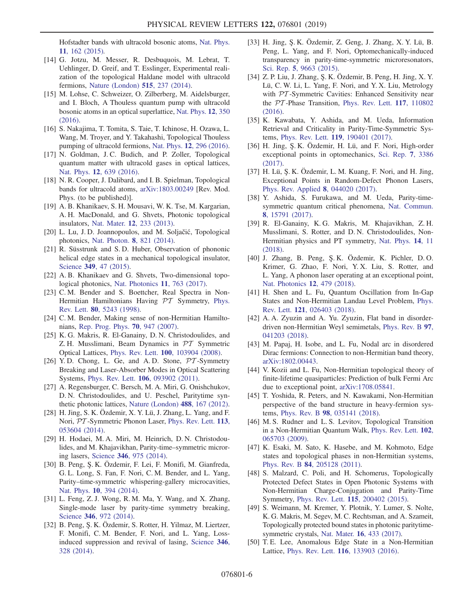Hofstadter bands with ultracold bosonic atoms, [Nat. Phys.](https://doi.org/10.1038/nphys3171) 11[, 162 \(2015\)](https://doi.org/10.1038/nphys3171).

- [14] G. Jotzu, M. Messer, R. Desbuquois, M. Lebrat, T. Uehlinger, D. Greif, and T. Esslinger, Experimental realization of the topological Haldane model with ultracold fermions, [Nature \(London\)](https://doi.org/10.1038/nature13915) 515, 237 (2014).
- [15] M. Lohse, C. Schweizer, O. Zilberberg, M. Aidelsburger, and I. Bloch, A Thouless quantum pump with ultracold bosonic atoms in an optical superlattice, [Nat. Phys.](https://doi.org/10.1038/nphys3584) 12, 350 [\(2016\).](https://doi.org/10.1038/nphys3584)
- [16] S. Nakajima, T. Tomita, S. Taie, T. Ichinose, H. Ozawa, L. Wang, M. Troyer, and Y. Takahashi, Topological Thouless pumping of ultracold fermions, Nat. Phys. 12[, 296 \(2016\).](https://doi.org/10.1038/nphys3622)
- [17] N. Goldman, J.C. Budich, and P. Zoller, Topological quantum matter with ultracold gases in optical lattices, Nat. Phys. 12[, 639 \(2016\).](https://doi.org/10.1038/nphys3803)
- [18] N. R. Cooper, J. Dalibard, and I. B. Spielman, Topological bands for ultracold atoms, [arXiv:1803.00249](http://arXiv.org/abs/1803.00249) [Rev. Mod. Phys. (to be published)].
- <span id="page-5-0"></span>[19] A. B. Khanikaev, S. H. Mousavi, W. K. Tse, M. Kargarian, A. H. MacDonald, and G. Shvets, Photonic topological insulators, Nat. Mater. 12[, 233 \(2013\).](https://doi.org/10.1038/nmat3520)
- [20] L. Lu, J. D. Joannopoulos, and M. Soljačić, Topological photonics, Nat. Photon. 8[, 821 \(2014\).](https://doi.org/10.1038/nphoton.2014.248)
- [21] R. Süsstrunk and S. D. Huber, Observation of phononic helical edge states in a mechanical topological insulator, Science 349[, 47 \(2015\)](https://doi.org/10.1126/science.aab0239).
- [22] A. B. Khanikaev and G. Shvets, Two-dimensional topological photonics, [Nat. Photonics](https://doi.org/10.1038/s41566-017-0048-5) 11, 763 (2017).
- <span id="page-5-1"></span>[23] C. M. Bender and S. Boettcher, Real Spectra in Non-Hermitian Hamiltonians Having PT Symmetry, [Phys.](https://doi.org/10.1103/PhysRevLett.80.5243) Rev. Lett. 80[, 5243 \(1998\)](https://doi.org/10.1103/PhysRevLett.80.5243).
- <span id="page-5-5"></span>[24] C. M. Bender, Making sense of non-Hermitian Hamiltonians, [Rep. Prog. Phys.](https://doi.org/10.1088/0034-4885/70/6/R03) 70, 947 (2007).
- <span id="page-5-2"></span>[25] K. G. Makris, R. El-Ganainy, D. N. Christodoulides, and Z. H. Musslimani, Beam Dynamics in PT Symmetric Optical Lattices, Phys. Rev. Lett. 100[, 103904 \(2008\).](https://doi.org/10.1103/PhysRevLett.100.103904)
- [26] Y.D. Chong, L. Ge, and A.D. Stone,  $\mathcal{P}T$ -Symmetry Breaking and Laser-Absorber Modes in Optical Scattering Systems, Phys. Rev. Lett. 106[, 093902 \(2011\).](https://doi.org/10.1103/PhysRevLett.106.093902)
- [27] A. Regensburger, C. Bersch, M. A. Miri, G. Onishchukov, D. N. Christodoulides, and U. Peschel, Paritytime synthetic photonic lattices, [Nature \(London\)](https://doi.org/10.1038/nature11298) 488, 167 (2012).
- [28] H. Jing, S. K. Özdemir, X. Y. Lü, J. Zhang, L. Yang, and F. Nori, PT -Symmetric Phonon Laser, [Phys. Rev. Lett.](https://doi.org/10.1103/PhysRevLett.113.053604) 113, [053604 \(2014\).](https://doi.org/10.1103/PhysRevLett.113.053604)
- [29] H. Hodaei, M. A. Miri, M. Heinrich, D. N. Christodoulides, and M. Khajavikhan, Parity-time–symmetric microring lasers, Science 346[, 975 \(2014\)](https://doi.org/10.1126/science.1258480).
- [30] B. Peng, Ş. K. Özdemir, F. Lei, F. Monifi, M. Gianfreda, G. L. Long, S. Fan, F. Nori, C. M. Bender, and L. Yang, Parity–time-symmetric whispering-gallery microcavities, Nat. Phys. 10[, 394 \(2014\).](https://doi.org/10.1038/nphys2927)
- [31] L. Feng, Z. J. Wong, R. M. Ma, Y. Wang, and X. Zhang, Single-mode laser by parity-time symmetry breaking, Science 346[, 972 \(2014\).](https://doi.org/10.1126/science.1258479)
- [32] B. Peng, Ş. K. Özdemir, S. Rotter, H. Yilmaz, M. Liertzer, F. Monifi, C. M. Bender, F. Nori, and L. Yang, Lossinduced suppression and revival of lasing, [Science](https://doi.org/10.1126/science.1258004) 346, [328 \(2014\)](https://doi.org/10.1126/science.1258004).
- [33] H. Jing, Ş. K. Özdemir, Z. Geng, J. Zhang, X. Y. Lü, B. Peng, L. Yang, and F. Nori, Optomechanically-induced transparency in parity-time-symmetric microresonators, Sci. Rep. 5[, 9663 \(2015\)](https://doi.org/10.1038/srep09663).
- [34] Z. P. Liu, J. Zhang, Ş. K. Özdemir, B. Peng, H. Jing, X. Y. Lü, C. W. Li, L. Yang, F. Nori, and Y. X. Liu, Metrology with PT-Symmetric Cavities: Enhanced Sensitivity near the PT -Phase Transition, [Phys. Rev. Lett.](https://doi.org/10.1103/PhysRevLett.117.110802) 117, 110802 [\(2016\).](https://doi.org/10.1103/PhysRevLett.117.110802)
- [35] K. Kawabata, Y. Ashida, and M. Ueda, Information Retrieval and Criticality in Parity-Time-Symmetric Systems, Phys. Rev. Lett. 119[, 190401 \(2017\).](https://doi.org/10.1103/PhysRevLett.119.190401)
- [36] H. Jing, Ş. K. Özdemir, H. Lü, and F. Nori, High-order exceptional points in optomechanics, [Sci. Rep.](https://doi.org/10.1038/s41598-017-03546-7) 7, 3386 [\(2017\).](https://doi.org/10.1038/s41598-017-03546-7)
- [37] H. Lü, Ş. K. Özdemir, L. M. Kuang, F. Nori, and H. Jing, Exceptional Points in Random-Defect Phonon Lasers, [Phys. Rev. Applied](https://doi.org/10.1103/PhysRevApplied.8.044020) 8, 044020 (2017).
- [38] Y. Ashida, S. Furukawa, and M. Ueda, Parity-timesymmetric quantum critical phenomena, [Nat. Commun.](https://doi.org/10.1038/ncomms15791) 8[, 15791 \(2017\)](https://doi.org/10.1038/ncomms15791).
- [39] R. El-Ganainy, K. G. Makris, M. Khajavikhan, Z. H. Musslimani, S. Rotter, and D. N. Christodoulides, Non-Hermitian physics and PT symmetry, [Nat. Phys.](https://doi.org/10.1038/nphys4323) 14, 11 [\(2018\).](https://doi.org/10.1038/nphys4323)
- [40] J. Zhang, B. Peng, Ş. K. Özdemir, K. Pichler, D. O. Krimer, G. Zhao, F. Nori, Y. X. Liu, S. Rotter, and L. Yang, A phonon laser operating at an exceptional point, [Nat. Photonics](https://doi.org/10.1038/s41566-018-0213-5) 12, 479 (2018).
- <span id="page-5-3"></span>[41] H. Shen and L. Fu, Quantum Oscillation from In-Gap States and Non-Hermitian Landau Level Problem, [Phys.](https://doi.org/10.1103/PhysRevLett.121.026403) Rev. Lett. 121[, 026403 \(2018\)](https://doi.org/10.1103/PhysRevLett.121.026403).
- [42] A. A. Zyuzin and A. Yu. Zyuzin, Flat band in disorderdriven non-Hermitian Weyl semimetals, [Phys. Rev. B](https://doi.org/10.1103/PhysRevB.97.041203) 97, [041203 \(2018\).](https://doi.org/10.1103/PhysRevB.97.041203)
- <span id="page-5-4"></span>[43] M. Papaj, H. Isobe, and L. Fu, Nodal arc in disordered Dirac fermions: Connection to non-Hermitian band theory, [arXiv:1802.00443](http://arXiv.org/abs/1802.00443).
- [44] V. Kozii and L. Fu, Non-Hermitian topological theory of finite-lifetime quasiparticles: Prediction of bulk Fermi Arc due to exceptional point, [arXiv:1708.05841.](http://arXiv.org/abs/1708.05841)
- [45] T. Yoshida, R. Peters, and N. Kawakami, Non-Hermitian perspective of the band structure in heavy-fermion systems, Phys. Rev. B 98[, 035141 \(2018\)](https://doi.org/10.1103/PhysRevB.98.035141).
- [46] M. S. Rudner and L. S. Levitov, Topological Transition in a Non-Hermitian Quantum Walk, [Phys. Rev. Lett.](https://doi.org/10.1103/PhysRevLett.102.065703) 102, [065703 \(2009\).](https://doi.org/10.1103/PhysRevLett.102.065703)
- [47] K. Esaki, M. Sato, K. Hasebe, and M. Kohmoto, Edge states and topological phases in non-Hermitian systems, Phys. Rev. B 84[, 205128 \(2011\).](https://doi.org/10.1103/PhysRevB.84.205128)
- [48] S. Malzard, C. Poli, and H. Schomerus, Topologically Protected Defect States in Open Photonic Systems with Non-Hermitian Charge-Conjugation and Parity-Time Symmetry, Phys. Rev. Lett. 115[, 200402 \(2015\).](https://doi.org/10.1103/PhysRevLett.115.200402)
- [49] S. Weimann, M. Kremer, Y. Plotnik, Y. Lumer, S. Nolte, K. G. Makris, M. Segev, M. C. Rechtsman, and A. Szameit, Topologically protected bound states in photonic paritytimesymmetric crystals, Nat. Mater. 16[, 433 \(2017\).](https://doi.org/10.1038/nmat4811)
- <span id="page-5-6"></span>[50] T. E. Lee, Anomalous Edge State in a Non-Hermitian Lattice, Phys. Rev. Lett. 116[, 133903 \(2016\)](https://doi.org/10.1103/PhysRevLett.116.133903).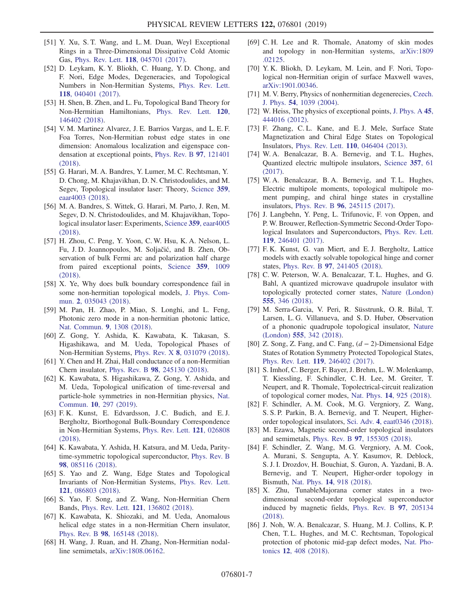- <span id="page-6-0"></span>[51] Y. Xu, S. T. Wang, and L. M. Duan, Weyl Exceptional Rings in a Three-Dimensional Dissipative Cold Atomic Gas, Phys. Rev. Lett. 118[, 045701 \(2017\).](https://doi.org/10.1103/PhysRevLett.118.045701)
- [52] D. Leykam, K. Y. Bliokh, C. Huang, Y. D. Chong, and F. Nori, Edge Modes, Degeneracies, and Topological Numbers in Non-Hermitian Systems, [Phys. Rev. Lett.](https://doi.org/10.1103/PhysRevLett.118.040401) 118[, 040401 \(2017\)](https://doi.org/10.1103/PhysRevLett.118.040401).
- <span id="page-6-7"></span>[53] H. Shen, B. Zhen, and L. Fu, Topological Band Theory for Non-Hermitian Hamiltonians, [Phys. Rev. Lett.](https://doi.org/10.1103/PhysRevLett.120.146402) 120, [146402 \(2018\).](https://doi.org/10.1103/PhysRevLett.120.146402)
- [54] V. M. Martinez Alvarez, J. E. Barrios Vargas, and L. E. F. Foa Torres, Non-Hermitian robust edge states in one dimension: Anomalous localization and eigenspace condensation at exceptional points, [Phys. Rev. B](https://doi.org/10.1103/PhysRevB.97.121401) 97, 121401 [\(2018\).](https://doi.org/10.1103/PhysRevB.97.121401)
- [55] G. Harari, M. A. Bandres, Y. Lumer, M. C. Rechtsman, Y. D. Chong, M. Khajavikhan, D. N. Christodoulides, and M. Segev, Topological insulator laser: Theory, [Science](https://doi.org/10.1126/science.aar4003) 359, [eaar4003 \(2018\).](https://doi.org/10.1126/science.aar4003)
- [56] M. A. Bandres, S. Wittek, G. Harari, M. Parto, J. Ren, M. Segev, D. N. Christodoulides, and M. Khajavikhan, Topological insulator laser: Experiments, Science 359[, eaar4005](https://doi.org/10.1126/science.aar4005) [\(2018\).](https://doi.org/10.1126/science.aar4005)
- <span id="page-6-1"></span>[57] H. Zhou, C. Peng, Y. Yoon, C. W. Hsu, K. A. Nelson, L. Fu, J. D. Joannopoulos, M. Soljačić, and B. Zhen, Observation of bulk Fermi arc and polarization half charge from paired exceptional points, [Science](https://doi.org/10.1126/science.aap9859) 359, 1009 [\(2018\).](https://doi.org/10.1126/science.aap9859)
- [58] X. Ye, Why does bulk boundary correspondence fail in some non-hermitian topological models, [J. Phys. Com](https://doi.org/10.1088/2399-6528/aab64a)mun. 2[, 035043 \(2018\).](https://doi.org/10.1088/2399-6528/aab64a)
- [59] M. Pan, H. Zhao, P. Miao, S. Longhi, and L. Feng, Photonic zero mode in a non-hermitian photonic lattice, [Nat. Commun.](https://doi.org/10.1038/s41467-018-03822-8) 9, 1308 (2018).
- [60] Z. Gong, Y. Ashida, K. Kawabata, K. Takasan, S. Higashikawa, and M. Ueda, Topological Phases of Non-Hermitian Systems, Phys. Rev. X 8[, 031079 \(2018\).](https://doi.org/10.1103/PhysRevX.8.031079)
- [61] Y. Chen and H. Zhai, Hall conductance of a non-Hermitian Chern insulator, Phys. Rev. B 98[, 245130 \(2018\)](https://doi.org/10.1103/PhysRevB.98.245130).
- [62] K. Kawabata, S. Higashikawa, Z. Gong, Y. Ashida, and M. Ueda, Topological unification of time-reversal and particle-hole symmetries in non-Hermitian physics, [Nat.](https://doi.org/10.1038/s41467-018-08254-y) Commun. 10[, 297 \(2019\)](https://doi.org/10.1038/s41467-018-08254-y).
- [63] F. K. Kunst, E. Edvardsson, J. C. Budich, and E. J. Bergholtz, Biorthogonal Bulk-Boundary Correspondence in Non-Hermitian Systems, [Phys. Rev. Lett.](https://doi.org/10.1103/PhysRevLett.121.026808) 121, 026808 [\(2018\).](https://doi.org/10.1103/PhysRevLett.121.026808)
- [64] K. Kawabata, Y. Ashida, H. Katsura, and M. Ueda, Paritytime-symmetric topological superconductor, [Phys. Rev. B](https://doi.org/10.1103/PhysRevB.98.085116) 98[, 085116 \(2018\).](https://doi.org/10.1103/PhysRevB.98.085116)
- <span id="page-6-2"></span>[65] S. Yao and Z. Wang, Edge States and Topological Invariants of Non-Hermitian Systems, [Phys. Rev. Lett.](https://doi.org/10.1103/PhysRevLett.121.086803) 121[, 086803 \(2018\)](https://doi.org/10.1103/PhysRevLett.121.086803).
- [66] S. Yao, F. Song, and Z. Wang, Non-Hermitian Chern Bands, Phys. Rev. Lett. 121[, 136802 \(2018\).](https://doi.org/10.1103/PhysRevLett.121.136802)
- [67] K. Kawabata, K. Shiozaki, and M. Ueda, Anomalous helical edge states in a non-Hermitian Chern insulator, Phys. Rev. B 98[, 165148 \(2018\).](https://doi.org/10.1103/PhysRevB.98.165148)
- [68] H. Wang, J. Ruan, and H. Zhang, Non-Hermitian nodalline semimetals, [arXiv:1808.06162.](http://arXiv.org/abs/1808.06162)
- [69] C. H. Lee and R. Thomale, Anatomy of skin modes and topology in non-Hermitian systems, [arXiv:1809](http://arXiv.org/abs/1809.02125) [.02125.](http://arXiv.org/abs/1809.02125)
- [70] Y. K. Bliokh, D. Leykam, M. Lein, and F. Nori, Topological non-Hermitian origin of surface Maxwell waves, [arXiv:1901.00346](http://arXiv.org/abs/1901.00346).
- [71] M. V. Berry, Physics of nonhermitian degenerecies, [Czech.](https://doi.org/10.1023/B:CJOP.0000044002.05657.04) J. Phys. 54[, 1039 \(2004\).](https://doi.org/10.1023/B:CJOP.0000044002.05657.04)
- [72] W. Heiss, The physics of exceptional points, [J. Phys. A](https://doi.org/10.1088/1751-8113/45/44/444016) 45, [444016 \(2012\).](https://doi.org/10.1088/1751-8113/45/44/444016)
- <span id="page-6-3"></span>[73] F. Zhang, C. L. Kane, and E. J. Mele, Surface State Magnetization and Chiral Edge States on Topological Insulators, Phys. Rev. Lett. 110[, 046404 \(2013\)](https://doi.org/10.1103/PhysRevLett.110.046404).
- <span id="page-6-4"></span>[74] W. A. Benalcazar, B. A. Bernevig, and T. L. Hughes, Quantized electric multipole insulators, [Science](https://doi.org/10.1126/science.aah6442) 357, 61 [\(2017\).](https://doi.org/10.1126/science.aah6442)
- [75] W. A. Benalcazar, B. A. Bernevig, and T. L. Hughes, Electric multipole moments, topological multipole moment pumping, and chiral hinge states in crystalline insulators, Phys. Rev. B 96[, 245115 \(2017\).](https://doi.org/10.1103/PhysRevB.96.245115)
- [76] J. Langbehn, Y. Peng, L. Trifunovic, F. von Oppen, and P. W. Brouwer, Reflection-Symmetric Second-Order Topological Insulators and Superconductors, [Phys. Rev. Lett.](https://doi.org/10.1103/PhysRevLett.119.246401) 119[, 246401 \(2017\)](https://doi.org/10.1103/PhysRevLett.119.246401).
- [77] F. K. Kunst, G. van Miert, and E. J. Bergholtz, Lattice models with exactly solvable topological hinge and corner states, Phys. Rev. B 97[, 241405 \(2018\)](https://doi.org/10.1103/PhysRevB.97.241405).
- [78] C. W. Peterson, W. A. Benalcazar, T. L. Hughes, and G. Bahl, A quantized microwave quadrupole insulator with topologically protected corner states, [Nature \(London\)](https://doi.org/10.1038/nature25777) 555[, 346 \(2018\)](https://doi.org/10.1038/nature25777).
- [79] M. Serra-Garcia, V. Peri, R. Süsstrunk, O. R. Bilal, T. Larsen, L. G. Villanueva, and S. D. Huber, Observation of a phononic quadrupole topological insulator, [Nature](https://doi.org/10.1038/nature25156) (London) 555[, 342 \(2018\)](https://doi.org/10.1038/nature25156).
- [80] Z. Song, Z. Fang, and C. Fang,  $(d 2)$ -Dimensional Edge States of Rotation Symmetry Protected Topological States, Phys. Rev. Lett. 119[, 246402 \(2017\).](https://doi.org/10.1103/PhysRevLett.119.246402)
- <span id="page-6-5"></span>[81] S. Imhof, C. Berger, F. Bayer, J. Brehm, L. W. Molenkamp, T. Kiessling, F. Schindler, C. H. Lee, M. Greiter, T. Neupert, and R. Thomale, Topolectrical-circuit realization of topological corner modes, Nat. Phys. 14[, 925 \(2018\)](https://doi.org/10.1038/s41567-018-0246-1).
- <span id="page-6-6"></span>[82] F. Schindler, A. M. Cook, M. G. Vergniory, Z. Wang, S. S. P. Parkin, B. A. Bernevig, and T. Neupert, Higherorder topological insulators, Sci. Adv. 4[, eaat0346 \(2018\).](https://doi.org/10.1126/sciadv.aat0346)
- [83] M. Ezawa, Magnetic second-order topological insulators and semimetals, Phys. Rev. B 97[, 155305 \(2018\).](https://doi.org/10.1103/PhysRevB.97.155305)
- [84] F. Schindler, Z. Wang, M. G. Vergniory, A. M. Cook, A. Murani, S. Sengupta, A. Y. Kasumov, R. Deblock, S. J. I. Drozdov, H. Bouchiat, S. Guron, A. Yazdani, B. A. Bernevig, and T. Neupert, Higher-order topology in Bismuth, Nat. Phys. 14[, 918 \(2018\).](https://doi.org/10.1038/s41567-018-0224-7)
- [85] X. Zhu, TunableMajorana corner states in a twodimensional second-order topological superconductor induced by magnetic fields, [Phys. Rev. B](https://doi.org/10.1103/PhysRevB.97.205134) 97, 205134 [\(2018\).](https://doi.org/10.1103/PhysRevB.97.205134)
- [86] J. Noh, W. A. Benalcazar, S. Huang, M. J. Collins, K. P. Chen, T. L. Hughes, and M. C. Rechtsman, Topological protection of photonic mid-gap defect modes, [Nat. Pho](https://doi.org/10.1038/s41566-018-0179-3)tonics 12[, 408 \(2018\)](https://doi.org/10.1038/s41566-018-0179-3).